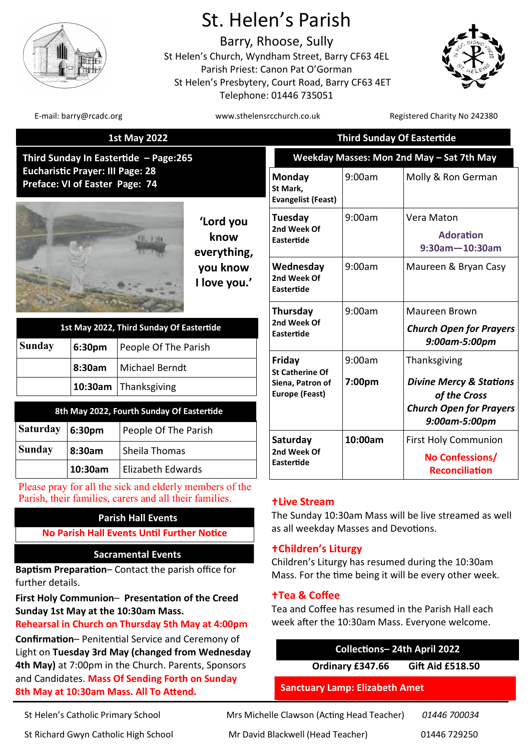

# St. Helen's Parish

Barry, Rhoose, Sully St Helen's Church, Wyndham Street, Barry CF63 4EL Parish Priest: Canon Pat O'Gorman St Helen's Presbytery, Court Road, Barry CF63 4ET Telephone: 01446 735051



E-mail: barry@rcadc.org www.sthelensrcchurch.co.uk Registered Charity No 242380

| <b>1st May 2022</b>                                                                                                |                   |                                                                                                                   |                                                                     | <b>Third Sunday Of Eastertide</b>               |         |                                                         |
|--------------------------------------------------------------------------------------------------------------------|-------------------|-------------------------------------------------------------------------------------------------------------------|---------------------------------------------------------------------|-------------------------------------------------|---------|---------------------------------------------------------|
| Third Sunday In Eastertide - Page:265<br><b>Eucharistic Prayer: III Page: 28</b><br>Preface: VI of Easter Page: 74 |                   |                                                                                                                   |                                                                     | Weekday Masses: Mon 2nd May - Sat 7th May       |         |                                                         |
|                                                                                                                    |                   |                                                                                                                   |                                                                     | Monday<br>St Mark,<br><b>Evangelist (Feast)</b> | 9:00am  | Molly & Ron German                                      |
|                                                                                                                    |                   | 37. 330                                                                                                           | 'Lord you<br>know<br>everything,                                    | Tuesday<br>2nd Week Of<br><b>Eastertide</b>     | 9:00am  | Vera Maton<br><b>Adoration</b><br>$9:30$ am $-10:30$ am |
|                                                                                                                    |                   |                                                                                                                   | you know<br>I love you.'                                            | Wednesday<br>2nd Week Of<br>Eastertide          | 9:00am  | Maureen & Bryan Casy                                    |
|                                                                                                                    |                   |                                                                                                                   |                                                                     | Thursday                                        | 9:00am  | Maureen Brown                                           |
| <b>Sunday</b>                                                                                                      | 6:30pm            | 1st May 2022, Third Sunday Of Eastertide<br>People Of The Parish                                                  |                                                                     | 2nd Week Of<br>Eastertide                       |         | <b>Church Open for Prayers</b><br>9:00am-5:00pm         |
|                                                                                                                    |                   |                                                                                                                   |                                                                     | Friday                                          | 9:00am  | Thanksgiving                                            |
|                                                                                                                    | 8:30am<br>10:30am | <b>Michael Berndt</b><br>Thanksgiving                                                                             | <b>St Catherine Of</b><br>Siena, Patron of<br><b>Europe (Feast)</b> |                                                 | 7:00pm  | <b>Divine Mercy &amp; Stations</b><br>of the Cross      |
|                                                                                                                    |                   | 8th May 2022, Fourth Sunday Of Eastertide                                                                         |                                                                     |                                                 |         | <b>Church Open for Prayers</b><br>9:00am-5:00pm         |
| <b>Saturday</b>                                                                                                    | 6:30pm            | People Of The Parish                                                                                              |                                                                     | Saturday<br>2nd Week Of                         |         | <b>First Holy Communion</b><br>No Confessions/          |
| <b>Sunday</b>                                                                                                      | 8:30am            | Sheila Thomas                                                                                                     |                                                                     |                                                 | 10:00am |                                                         |
|                                                                                                                    | 10:30am           | <b>Elizabeth Edwards</b>                                                                                          |                                                                     | Eastertide                                      |         | <b>Reconciliation</b>                                   |
|                                                                                                                    |                   | Please pray for all the sick and elderly members of the<br>Parish, their families, carers and all their families. |                                                                     | <b>+Live Stream</b>                             |         |                                                         |

# **Parish Hall Events**

**No Parish Hall Events Until Further Notice** 

## **Sacramental Events**

**Baptism Preparation**– Contact the parish office for further details.

# **First Holy Communion**– **Presentation of the Creed Sunday 1st May at the 10:30am Mass.**

**Rehearsal in Church on Thursday 5th May at 4:00pm** 

**Confirmation**– Penitential Service and Ceremony of Light on **Tuesday 3rd May (changed from Wednesday 4th May)** at 7:00pm in the Church. Parents, Sponsors and Candidates. **Mass Of Sending Forth on Sunday 8th May at 10:30am Mass. All To Attend.** 

The Sunday 10:30am Mass will be live streamed as well

as all weekday Masses and Devotions.

# **Children's Liturgy**

Children's Liturgy has resumed during the 10:30am Mass. For the time being it will be every other week.

# **Tea & Coffee**

Tea and Coffee has resumed in the Parish Hall each week after the 10:30am Mass. Everyone welcome.

| <b>Collections-24th April 2022</b>    |                         |
|---------------------------------------|-------------------------|
| Ordinary £347.66                      | <b>Gift Aid £518.50</b> |
| <b>Sanctuary Lamp: Elizabeth Amet</b> |                         |

St Helen's Catholic Primary School Mrs Michelle Clawson (Acting Head Teacher) *01446 700034* St Richard Gwyn Catholic High School Mr David Blackwell (Head Teacher) 01446 729250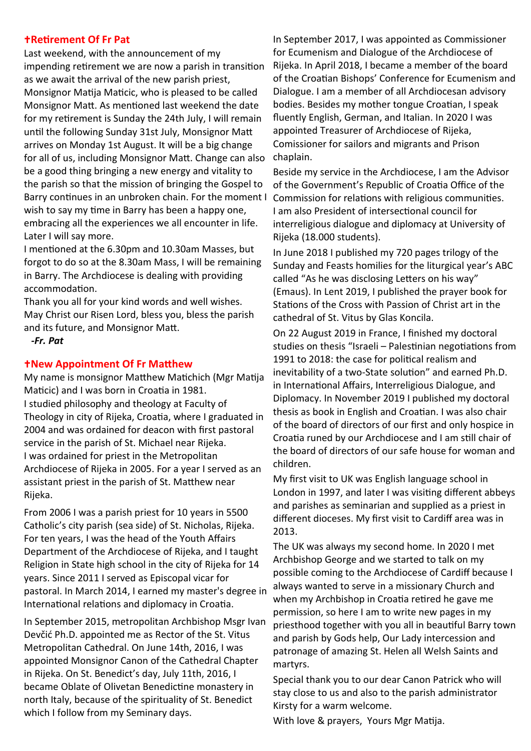#### **Retirement Of Fr Pat**

Last weekend, with the announcement of my impending retirement we are now a parish in transition as we await the arrival of the new parish priest, Monsignor Matija Maticic, who is pleased to be called Monsignor Matt. As mentioned last weekend the date for my retirement is Sunday the 24th July, I will remain until the following Sunday 31st July, Monsignor Matt arrives on Monday 1st August. It will be a big change for all of us, including Monsignor Matt. Change can also be a good thing bringing a new energy and vitality to the parish so that the mission of bringing the Gospel to Barry continues in an unbroken chain. For the moment I wish to say my time in Barry has been a happy one, embracing all the experiences we all encounter in life. Later I will say more.

I mentioned at the 6.30pm and 10.30am Masses, but forgot to do so at the 8.30am Mass, I will be remaining in Barry. The Archdiocese is dealing with providing accommodation.

Thank you all for your kind words and well wishes. May Christ our Risen Lord, bless you, bless the parish and its future, and Monsignor Matt.

*-Fr. Pat*

#### **New Appointment Of Fr Matthew**

My name is monsignor Matthew Matichich (Mgr Matija Maticic) and I was born in Croatia in 1981. I studied philosophy and theology at Faculty of Theology in city of Rijeka, Croatia, where I graduated in 2004 and was ordained for deacon with first pastoral service in the parish of St. Michael near Rijeka. I was ordained for priest in the Metropolitan Archdiocese of Rijeka in 2005. For a year I served as an assistant priest in the parish of St. Matthew near Rijeka.

From 2006 I was a parish priest for 10 years in 5500 Catholic's city parish (sea side) of St. Nicholas, Rijeka. For ten years, I was the head of the Youth Affairs Department of the Archdiocese of Rijeka, and I taught Religion in State high school in the city of Rijeka for 14 years. Since 2011 I served as Episcopal vicar for pastoral. In March 2014, I earned my master's degree in International relations and diplomacy in Croatia.

In September 2015, metropolitan Archbishop Msgr Ivan Devčić Ph.D. appointed me as Rector of the St. Vitus Metropolitan Cathedral. On June 14th, 2016, I was appointed Monsignor Canon of the Cathedral Chapter in Rijeka. On St. Benedict's day, July 11th, 2016, I became Oblate of Olivetan Benedictine monastery in north Italy, because of the spirituality of St. Benedict which I follow from my Seminary days.

In September 2017, I was appointed as Commissioner for Ecumenism and Dialogue of the Archdiocese of Rijeka. In April 2018, I became a member of the board of the Croatian Bishops' Conference for Ecumenism and Dialogue. I am a member of all Archdiocesan advisory bodies. Besides my mother tongue Croatian, I speak fluently English, German, and Italian. In 2020 I was appointed Treasurer of Archdiocese of Rijeka, Comissioner for sailors and migrants and Prison chaplain.

Beside my service in the Archdiocese, I am the Advisor of the Government's Republic of Croatia Office of the Commission for relations with religious communities. I am also President of intersectional council for interreligious dialogue and diplomacy at University of Rijeka (18.000 students).

In June 2018 I published my 720 pages trilogy of the Sunday and Feasts homilies for the liturgical year's ABC called "As he was disclosing Letters on his way" (Emaus). In Lent 2019, I published the prayer book for Stations of the Cross with Passion of Christ art in the cathedral of St. Vitus by Glas Koncila.

On 22 August 2019 in France, I finished my doctoral studies on thesis "Israeli – Palestinian negotiations from 1991 to 2018: the case for political realism and inevitability of a two-State solution" and earned Ph.D. in International Affairs, Interreligious Dialogue, and Diplomacy. In November 2019 I published my doctoral thesis as book in English and Croatian. I was also chair of the board of directors of our first and only hospice in Croatia runed by our Archdiocese and I am still chair of the board of directors of our safe house for woman and children.

My first visit to UK was English language school in London in 1997, and later I was visiting different abbeys and parishes as seminarian and supplied as a priest in different dioceses. My first visit to Cardiff area was in 2013.

The UK was always my second home. In 2020 I met Archbishop George and we started to talk on my possible coming to the Archdiocese of Cardiff because I always wanted to serve in a missionary Church and when my Archbishop in Croatia retired he gave me permission, so here I am to write new pages in my priesthood together with you all in beautiful Barry town and parish by Gods help, Our Lady intercession and patronage of amazing St. Helen all Welsh Saints and martyrs.

Special thank you to our dear Canon Patrick who will stay close to us and also to the parish administrator Kirsty for a warm welcome.

**Collections— 24th February 2019** With love & prayers, Yours Mgr Matija.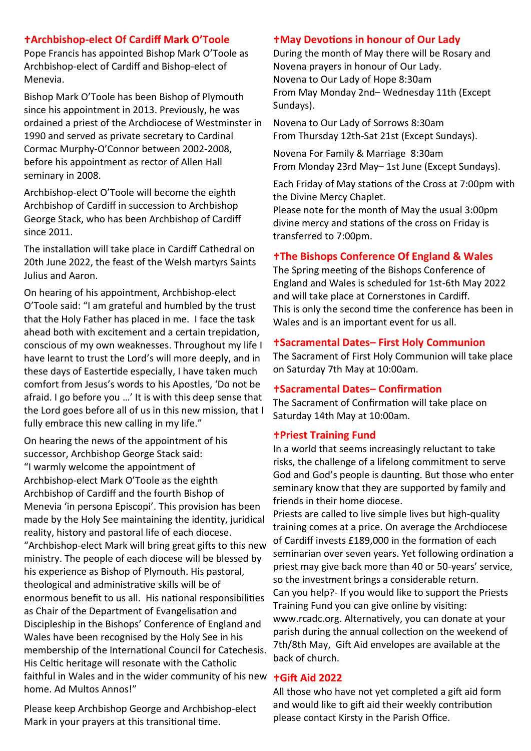## **Archbishop-elect Of Cardiff Mark O'Toole**

Pope Francis has appointed Bishop Mark O'Toole as Archbishop-elect of Cardiff and Bishop-elect of Menevia.

Bishop Mark O'Toole has been Bishop of Plymouth since his appointment in 2013. Previously, he was ordained a priest of the Archdiocese of Westminster in 1990 and served as private secretary to Cardinal Cormac Murphy-O'Connor between 2002-2008, before his appointment as rector of Allen Hall seminary in 2008.

Archbishop-elect O'Toole will become the eighth Archbishop of Cardiff in succession to Archbishop George Stack, who has been Archbishop of Cardiff since 2011.

The installation will take place in Cardiff Cathedral on 20th June 2022, the feast of the Welsh martyrs Saints Julius and Aaron.

On hearing of his appointment, Archbishop-elect O'Toole said: "I am grateful and humbled by the trust that the Holy Father has placed in me. I face the task ahead both with excitement and a certain trepidation, conscious of my own weaknesses. Throughout my life I have learnt to trust the Lord's will more deeply, and in these days of Eastertide especially, I have taken much comfort from Jesus's words to his Apostles, 'Do not be afraid. I go before you …' It is with this deep sense that the Lord goes before all of us in this new mission, that I fully embrace this new calling in my life."

On hearing the news of the appointment of his successor, Archbishop George Stack said: "I warmly welcome the appointment of Archbishop-elect Mark O'Toole as the eighth Archbishop of Cardiff and the fourth Bishop of Menevia 'in persona Episcopi'. This provision has been made by the Holy See maintaining the identity, juridical reality, history and pastoral life of each diocese. "Archbishop-elect Mark will bring great gifts to this new ministry. The people of each diocese will be blessed by his experience as Bishop of Plymouth. His pastoral, theological and administrative skills will be of enormous benefit to us all. His national responsibilities as Chair of the Department of Evangelisation and Discipleship in the Bishops' Conference of England and Wales have been recognised by the Holy See in his membership of the International Council for Catechesis. His Celtic heritage will resonate with the Catholic faithful in Wales and in the wider community of his new home. Ad Multos Annos!"

Please keep Archbishop George and Archbishop-elect Mark in your prayers at this transitional time.

### **May Devotions in honour of Our Lady**

During the month of May there will be Rosary and Novena prayers in honour of Our Lady. Novena to Our Lady of Hope 8:30am From May Monday 2nd– Wednesday 11th (Except Sundays).

Novena to Our Lady of Sorrows 8:30am From Thursday 12th-Sat 21st (Except Sundays).

Novena For Family & Marriage 8:30am From Monday 23rd May– 1st June (Except Sundays).

Each Friday of May stations of the Cross at 7:00pm with the Divine Mercy Chaplet.

Please note for the month of May the usual 3:00pm divine mercy and stations of the cross on Friday is transferred to 7:00pm.

## **The Bishops Conference Of England & Wales**

The Spring meeting of the Bishops Conference of England and Wales is scheduled for 1st-6th May 2022 and will take place at Cornerstones in Cardiff. This is only the second time the conference has been in Wales and is an important event for us all.

#### **Sacramental Dates– First Holy Communion**

The Sacrament of First Holy Communion will take place on Saturday 7th May at 10:00am.

#### **Sacramental Dates– Confirmation**

The Sacrament of Confirmation will take place on Saturday 14th May at 10:00am.

#### **Priest Training Fund**

In a world that seems increasingly reluctant to take risks, the challenge of a lifelong commitment to serve God and God's people is daunting. But those who enter seminary know that they are supported by family and friends in their home diocese.

Priests are called to live simple lives but high-quality training comes at a price. On average the Archdiocese of Cardiff invests £189,000 in the formation of each seminarian over seven years. Yet following ordination a priest may give back more than 40 or 50-years' service, so the investment brings a considerable return. Can you help?- If you would like to support the Priests Training Fund you can give online by visiting: www.rcadc.org. Alternatively, you can donate at your parish during the annual collection on the weekend of 7th/8th May, Gift Aid envelopes are available at the back of church.

#### **Gift Aid 2022**

**Collections** and the *actions* of *alle a*<sup>1</sup> All those who have not yet completed a gift aid form and would like to gift aid their weekly contribution